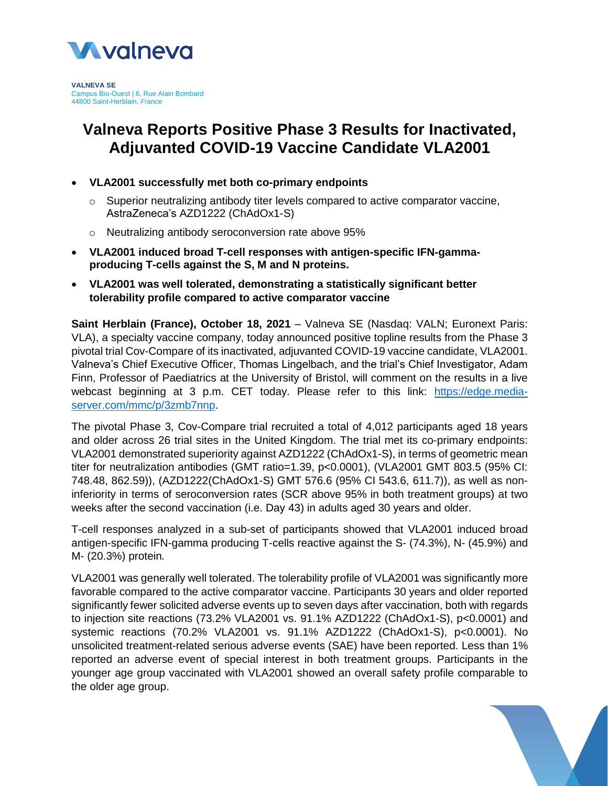

**VALNEVA SE** Campus Bio-Ouest | 6, Rue Alain Bombard 44800 Saint-Herblain, *France*

# **Valneva Reports Positive Phase 3 Results for Inactivated, Adjuvanted COVID-19 Vaccine Candidate VLA2001**

## **VLA2001 successfully met both co-primary endpoints**

- $\circ$  Superior neutralizing antibody titer levels compared to active comparator vaccine, AstraZeneca's AZD1222 (ChAdOx1-S)
- o Neutralizing antibody seroconversion rate above 95%
- **VLA2001 induced broad T-cell responses with antigen-specific IFN-gammaproducing T-cells against the S, M and N proteins.**
- **VLA2001 was well tolerated, demonstrating a statistically significant better tolerability profile compared to active comparator vaccine**

**Saint Herblain (France), October 18, 2021** – Valneva SE (Nasdaq: VALN; Euronext Paris: VLA), a specialty vaccine company, today announced positive topline results from the Phase 3 pivotal trial Cov-Compare of its inactivated, adjuvanted COVID-19 vaccine candidate, VLA2001. Valneva's Chief Executive Officer, Thomas Lingelbach, and the trial's Chief Investigator, Adam Finn, Professor of Paediatrics at the University of Bristol, will comment on the results in a live webcast beginning at 3 p.m. CET today. Please refer to this link: [https://edge.media](https://edge.media-server.com/mmc/p/3zmb7nnp)[server.com/mmc/p/3zmb7nnp.](https://edge.media-server.com/mmc/p/3zmb7nnp)

The pivotal Phase 3, Cov-Compare trial recruited a total of 4,012 participants aged 18 years and older across 26 trial sites in the United Kingdom. The trial met its co-primary endpoints: VLA2001 demonstrated superiority against AZD1222 (ChAdOx1-S), in terms of geometric mean titer for neutralization antibodies (GMT ratio=1.39, p<0.0001), (VLA2001 GMT 803.5 (95% CI: 748.48, 862.59)), (AZD1222(ChAdOx1-S) GMT 576.6 (95% CI 543.6, 611.7)), as well as noninferiority in terms of seroconversion rates (SCR above 95% in both treatment groups) at two weeks after the second vaccination (i.e. Day 43) in adults aged 30 years and older.

T-cell responses analyzed in a sub-set of participants showed that VLA2001 induced broad antigen-specific IFN-gamma producing T-cells reactive against the S- (74.3%), N- (45.9%) and M- (20.3%) protein*.*

VLA2001 was generally well tolerated. The tolerability profile of VLA2001 was significantly more favorable compared to the active comparator vaccine. Participants 30 years and older reported significantly fewer solicited adverse events up to seven days after vaccination, both with regards to injection site reactions (73.2% VLA2001 vs. 91.1% AZD1222 (ChAdOx1-S), p<0.0001) and systemic reactions (70.2% VLA2001 vs. 91.1% AZD1222 (ChAdOx1-S), p<0.0001). No unsolicited treatment-related serious adverse events (SAE) have been reported. Less than 1% reported an adverse event of special interest in both treatment groups. Participants in the younger age group vaccinated with VLA2001 showed an overall safety profile comparable to the older age group.

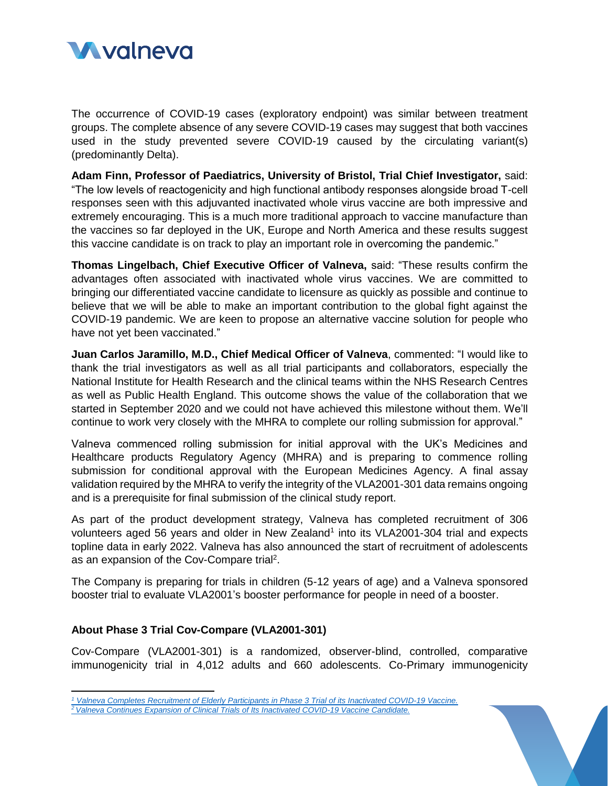

The occurrence of COVID-19 cases (exploratory endpoint) was similar between treatment groups. The complete absence of any severe COVID-19 cases may suggest that both vaccines used in the study prevented severe COVID-19 caused by the circulating variant(s) (predominantly Delta).

**Adam Finn, Professor of Paediatrics, University of Bristol, Trial Chief Investigator,** said: "The low levels of reactogenicity and high functional antibody responses alongside broad T-cell responses seen with this adjuvanted inactivated whole virus vaccine are both impressive and extremely encouraging. This is a much more traditional approach to vaccine manufacture than the vaccines so far deployed in the UK, Europe and North America and these results suggest this vaccine candidate is on track to play an important role in overcoming the pandemic."

**Thomas Lingelbach, Chief Executive Officer of Valneva,** said: "These results confirm the advantages often associated with inactivated whole virus vaccines. We are committed to bringing our differentiated vaccine candidate to licensure as quickly as possible and continue to believe that we will be able to make an important contribution to the global fight against the COVID-19 pandemic. We are keen to propose an alternative vaccine solution for people who have not yet been vaccinated."

**Juan Carlos Jaramillo, M.D., Chief Medical Officer of Valneva**, commented: "I would like to thank the trial investigators as well as all trial participants and collaborators, especially the National Institute for Health Research and the clinical teams within the NHS Research Centres as well as Public Health England. This outcome shows the value of the collaboration that we started in September 2020 and we could not have achieved this milestone without them. We'll continue to work very closely with the MHRA to complete our rolling submission for approval."

Valneva commenced rolling submission for initial approval with the UK's Medicines and Healthcare products Regulatory Agency (MHRA) and is preparing to commence rolling submission for conditional approval with the European Medicines Agency. A final assay validation required by the MHRA to verify the integrity of the VLA2001-301 data remains ongoing and is a prerequisite for final submission of the clinical study report.

As part of the product development strategy, Valneva has completed recruitment of 306 volunteers aged 56 years and older in New Zealand<sup>1</sup> into its VLA2001-304 trial and expects topline data in early 2022. Valneva has also announced the start of recruitment of adolescents as an expansion of the Cov-Compare trial<sup>2</sup>.

The Company is preparing for trials in children (5-12 years of age) and a Valneva sponsored booster trial to evaluate VLA2001's booster performance for people in need of a booster.

### **About Phase 3 Trial Cov-Compare (VLA2001-301)**

 $\overline{\phantom{a}}$ 

Cov-Compare (VLA2001-301) is a randomized, observer-blind, controlled, comparative immunogenicity trial in 4,012 adults and 660 adolescents. Co-Primary immunogenicity



*<sup>1</sup> [Valneva Completes Recruitment of Elderly Participants in Phase 3 Trial of its Inactivated COVID-19 Vaccine.](https://valneva.com/press-release/valneva-completes-recruitment-of-elderly-participants-in-phase-3-trial-of-its-inactivated-covid-19-vaccine/?lang=fr)*

*<sup>2</sup> [Valneva Continues Expansion of Clinical Trials of Its Inactivated COVID-19 Vaccine Candidate.](https://valneva.com/press-release/valneva-continues-expansion-of-clinical-trials-of-its-inactivated-covid-19-vaccine-candidate-vla2001/)*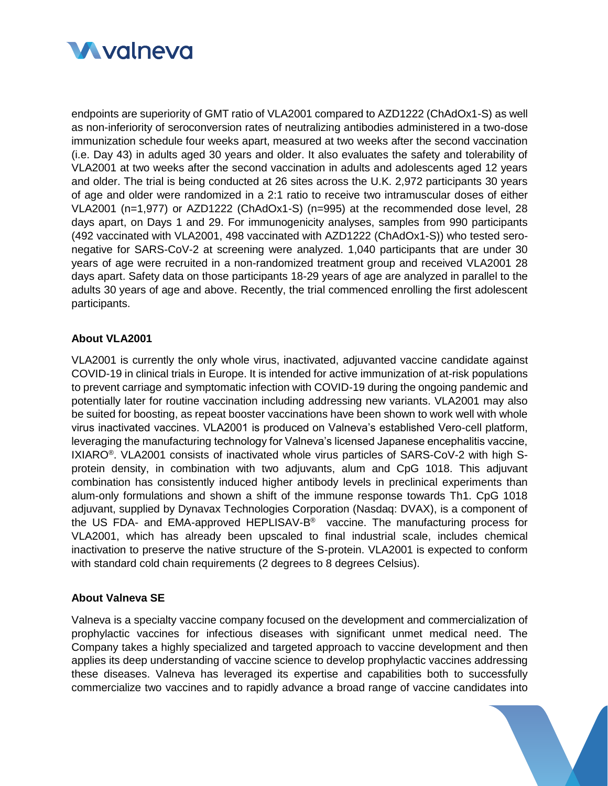

endpoints are superiority of GMT ratio of VLA2001 compared to AZD1222 (ChAdOx1-S) as well as non-inferiority of seroconversion rates of neutralizing antibodies administered in a two-dose immunization schedule four weeks apart, measured at two weeks after the second vaccination (i.e. Day 43) in adults aged 30 years and older. It also evaluates the safety and tolerability of VLA2001 at two weeks after the second vaccination in adults and adolescents aged 12 years and older. The trial is being conducted at 26 sites across the U.K. 2,972 participants 30 years of age and older were randomized in a 2:1 ratio to receive two intramuscular doses of either VLA2001 (n=1,977) or AZD1222 (ChAdOx1-S) (n=995) at the recommended dose level, 28 days apart, on Days 1 and 29. For immunogenicity analyses, samples from 990 participants (492 vaccinated with VLA2001, 498 vaccinated with AZD1222 (ChAdOx1-S)) who tested seronegative for SARS-CoV-2 at screening were analyzed. 1,040 participants that are under 30 years of age were recruited in a non-randomized treatment group and received VLA2001 28 days apart. Safety data on those participants 18-29 years of age are analyzed in parallel to the adults 30 years of age and above. Recently, the trial commenced enrolling the first adolescent participants.

## **About VLA2001**

VLA2001 is currently the only whole virus, inactivated, adjuvanted vaccine candidate against COVID-19 in clinical trials in Europe. It is intended for active immunization of at-risk populations to prevent carriage and symptomatic infection with COVID-19 during the ongoing pandemic and potentially later for routine vaccination including addressing new variants. VLA2001 may also be suited for boosting, as repeat booster vaccinations have been shown to work well with whole virus inactivated vaccines. VLA2001 is produced on Valneva's established Vero-cell platform, leveraging the manufacturing technology for Valneva's licensed Japanese encephalitis vaccine, IXIARO<sup>®</sup>. VLA2001 consists of inactivated whole virus particles of SARS-CoV-2 with high Sprotein density, in combination with two adjuvants, alum and CpG 1018. This adjuvant combination has consistently induced higher antibody levels in preclinical experiments than alum-only formulations and shown a shift of the immune response towards Th1. CpG 1018 adjuvant, supplied by Dynavax Technologies Corporation (Nasdaq: DVAX), is a component of the US FDA- and EMA-approved HEPLISAV-B ® vaccine. The manufacturing process for VLA2001, which has already been upscaled to final industrial scale, includes chemical inactivation to preserve the native structure of the S-protein. VLA2001 is expected to conform with standard cold chain requirements (2 degrees to 8 degrees Celsius).

### **About Valneva SE**

Valneva is a specialty vaccine company focused on the development and commercialization of prophylactic vaccines for infectious diseases with significant unmet medical need. The Company takes a highly specialized and targeted approach to vaccine development and then applies its deep understanding of vaccine science to develop prophylactic vaccines addressing these diseases. Valneva has leveraged its expertise and capabilities both to successfully commercialize two vaccines and to rapidly advance a broad range of vaccine candidates into